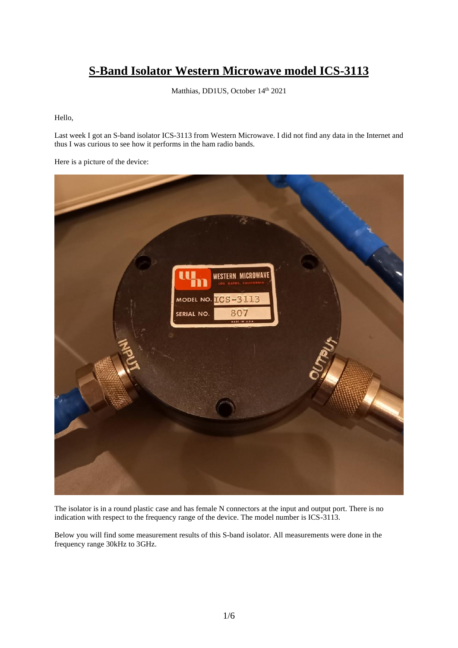## **S-Band Isolator Western Microwave model ICS-3113**

Matthias, DD1US, October 14<sup>th</sup> 2021

Hello,

Last week I got an S-band isolator ICS-3113 from Western Microwave. I did not find any data in the Internet and thus I was curious to see how it performs in the ham radio bands.

Here is a picture of the device:



The isolator is in a round plastic case and has female N connectors at the input and output port. There is no indication with respect to the frequency range of the device. The model number is ICS-3113.

Below you will find some measurement results of this S-band isolator. All measurements were done in the frequency range 30kHz to 3GHz.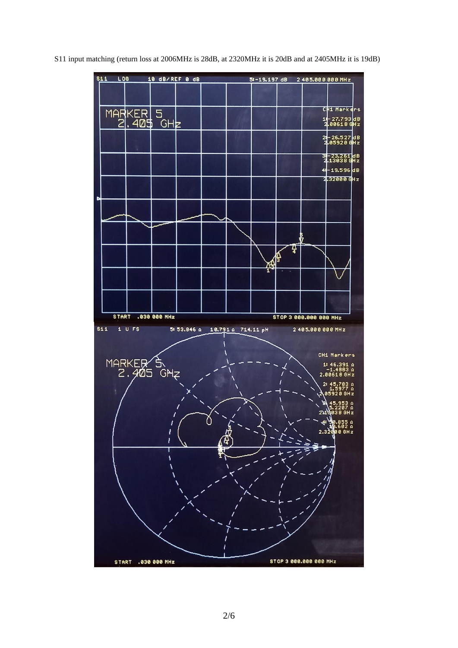S11 input matching (return loss at 2006MHz is 28dB, at 2320MHz it is 20dB and at 2405MHz it is 19dB)

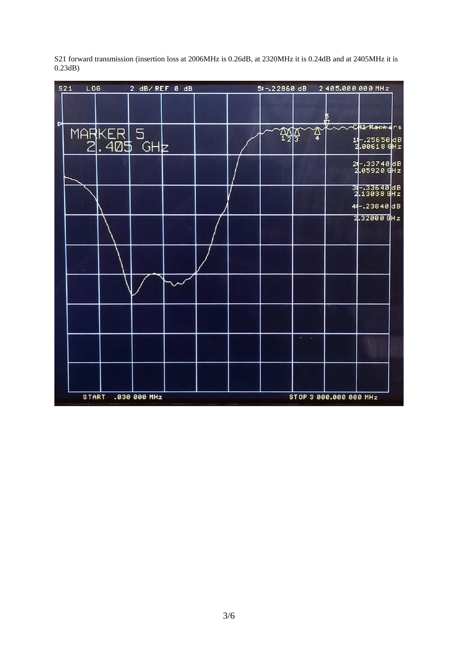| S21 | $L$ 06                | 2 dB/REF 0 dB |  | 5:-.22860 dB |   | 2405.000000MHz         |                                           |
|-----|-----------------------|---------------|--|--------------|---|------------------------|-------------------------------------------|
| Þ   |                       |               |  |              |   |                        |                                           |
|     | MARKER 5<br>2.405 GHz |               |  | 쨇            | ≏ |                        | CH2-Mapkers<br>14-25650 dB<br>2.00618 GHz |
|     |                       |               |  |              |   |                        | 24-33740 dB<br>2.05920 GHz                |
|     |                       |               |  |              |   |                        | 31-33640 dB<br>2.13038 GHz                |
|     |                       |               |  |              |   |                        | 44-23840 dB                               |
|     |                       |               |  |              |   |                        | 2.32000 GHz                               |
|     |                       |               |  |              |   |                        |                                           |
|     |                       |               |  |              |   |                        |                                           |
|     |                       |               |  |              |   |                        |                                           |
|     |                       |               |  |              |   |                        |                                           |
|     |                       |               |  |              |   |                        |                                           |
|     | <b>START</b>          | .030 000 MHz  |  |              |   | STOP 3 000.000 000 MHz |                                           |

S21 forward transmission (insertion loss at 2006MHz is 0.26dB, at 2320MHz it is 0.24dB and at 2405MHz it is 0.23dB)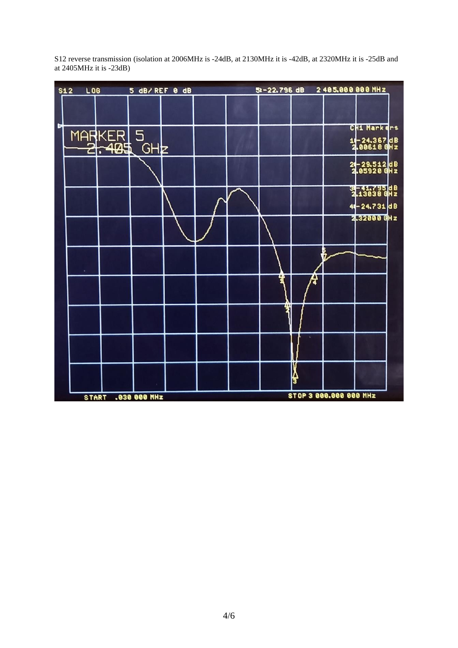S12 reverse transmission (isolation at 2006MHz is -24dB, at 2130MHz it is -42dB, at 2320MHz it is -25dB and at 2405MHz it is -23dB)

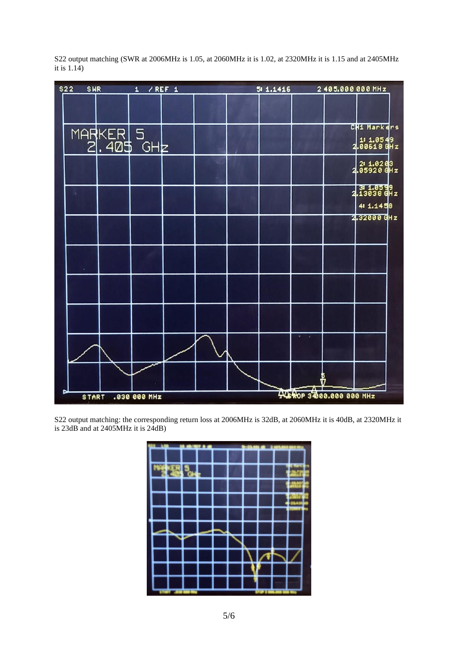$/$  REF 1 51 1.1416 2405.000 000 MHz  $$22$ **SWR**  $\overline{\mathbf{1}}$ CH1 Markers MARKER 5<br>2.405 1: 1.0549<br>00618 GHz  $.405$  GHZ 2: 1.0203<br>05920 GHz  $2.13038$  GHz 41 1.1458 2.32000 GHz Ť 446 ROP 34000.000 000 MHz .030 000 MHz **START** 

S22 output matching (SWR at 2006MHz is 1.05, at 2060MHz it is 1.02, at 2320MHz it is 1.15 and at 2405MHz it is  $1.\overline{14}$ )

S22 output matching: the corresponding return loss at 2006MHz is 32dB, at 2060MHz it is 40dB, at 2320MHz it is 23dB and at 2405MHz it is 24dB)